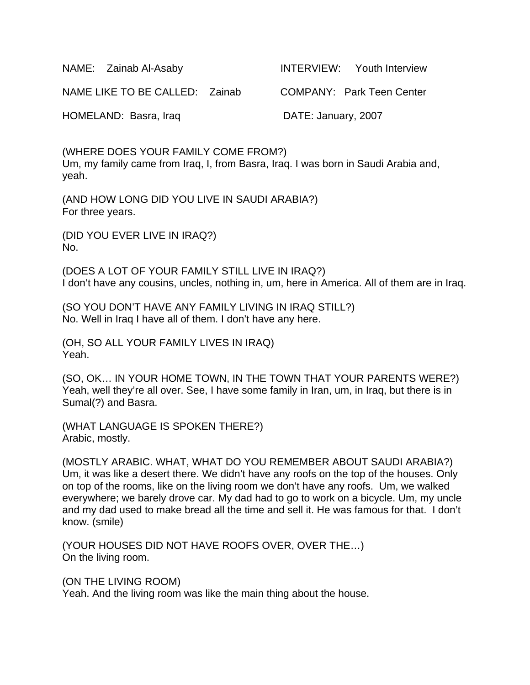| NAME: Zainab Al-Asaby          | <b>INTERVIEW:</b> Youth Interview |
|--------------------------------|-----------------------------------|
| NAME LIKE TO BE CALLED: Zainab | COMPANY: Park Teen Center         |
| HOMELAND: Basra, Iraq          | DATE: January, 2007               |

(WHERE DOES YOUR FAMILY COME FROM?) Um, my family came from Iraq, I, from Basra, Iraq. I was born in Saudi Arabia and, yeah.

(AND HOW LONG DID YOU LIVE IN SAUDI ARABIA?) For three years.

(DID YOU EVER LIVE IN IRAQ?) No.

(DOES A LOT OF YOUR FAMILY STILL LIVE IN IRAQ?) I don't have any cousins, uncles, nothing in, um, here in America. All of them are in Iraq.

(SO YOU DON'T HAVE ANY FAMILY LIVING IN IRAQ STILL?) No. Well in Iraq I have all of them. I don't have any here.

(OH, SO ALL YOUR FAMILY LIVES IN IRAQ) Yeah.

(SO, OK… IN YOUR HOME TOWN, IN THE TOWN THAT YOUR PARENTS WERE?) Yeah, well they're all over. See, I have some family in Iran, um, in Iraq, but there is in Sumal(?) and Basra.

(WHAT LANGUAGE IS SPOKEN THERE?) Arabic, mostly.

(MOSTLY ARABIC. WHAT, WHAT DO YOU REMEMBER ABOUT SAUDI ARABIA?) Um, it was like a desert there. We didn't have any roofs on the top of the houses. Only on top of the rooms, like on the living room we don't have any roofs. Um, we walked everywhere; we barely drove car. My dad had to go to work on a bicycle. Um, my uncle and my dad used to make bread all the time and sell it. He was famous for that. I don't know. (smile)

(YOUR HOUSES DID NOT HAVE ROOFS OVER, OVER THE…) On the living room.

(ON THE LIVING ROOM)

Yeah. And the living room was like the main thing about the house.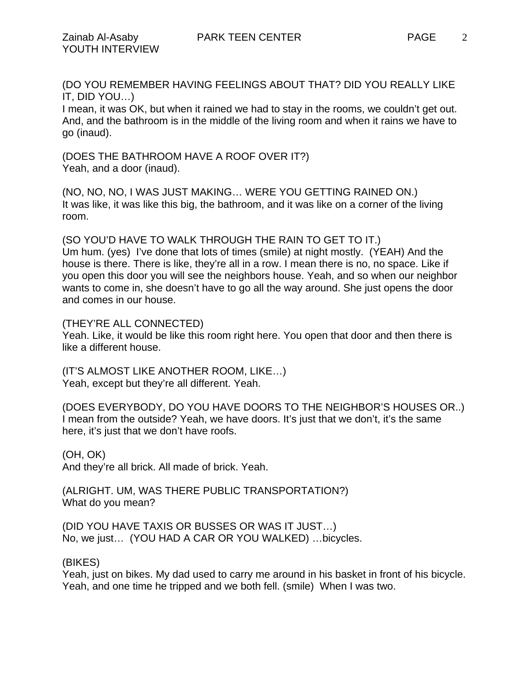(DO YOU REMEMBER HAVING FEELINGS ABOUT THAT? DID YOU REALLY LIKE IT, DID YOU…)

I mean, it was OK, but when it rained we had to stay in the rooms, we couldn't get out. And, and the bathroom is in the middle of the living room and when it rains we have to go (inaud).

(DOES THE BATHROOM HAVE A ROOF OVER IT?) Yeah, and a door (inaud).

(NO, NO, NO, I WAS JUST MAKING… WERE YOU GETTING RAINED ON.) It was like, it was like this big, the bathroom, and it was like on a corner of the living room.

(SO YOU'D HAVE TO WALK THROUGH THE RAIN TO GET TO IT.) Um hum. (yes) I've done that lots of times (smile) at night mostly. (YEAH) And the house is there. There is like, they're all in a row. I mean there is no, no space. Like if you open this door you will see the neighbors house. Yeah, and so when our neighbor wants to come in, she doesn't have to go all the way around. She just opens the door and comes in our house.

(THEY'RE ALL CONNECTED)

Yeah. Like, it would be like this room right here. You open that door and then there is like a different house.

(IT'S ALMOST LIKE ANOTHER ROOM, LIKE…) Yeah, except but they're all different. Yeah.

(DOES EVERYBODY, DO YOU HAVE DOORS TO THE NEIGHBOR'S HOUSES OR..) I mean from the outside? Yeah, we have doors. It's just that we don't, it's the same here, it's just that we don't have roofs.

(OH, OK) And they're all brick. All made of brick. Yeah.

(ALRIGHT. UM, WAS THERE PUBLIC TRANSPORTATION?) What do you mean?

(DID YOU HAVE TAXIS OR BUSSES OR WAS IT JUST…) No, we just… (YOU HAD A CAR OR YOU WALKED) …bicycles.

(BIKES)

Yeah, just on bikes. My dad used to carry me around in his basket in front of his bicycle. Yeah, and one time he tripped and we both fell. (smile) When I was two.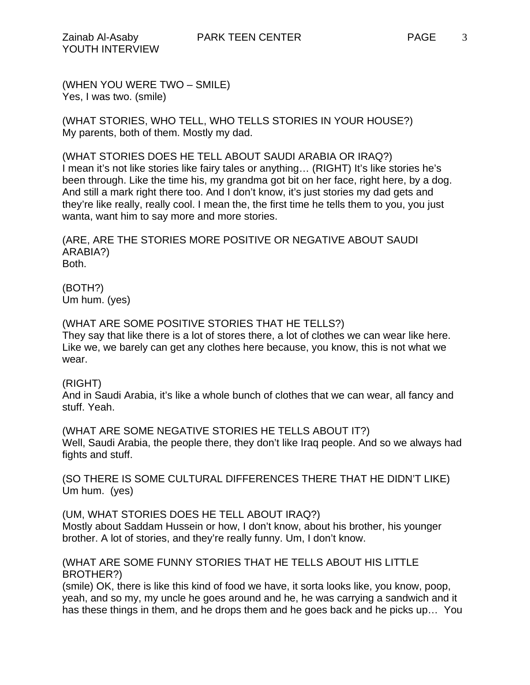(WHEN YOU WERE TWO – SMILE) Yes, I was two. (smile)

(WHAT STORIES, WHO TELL, WHO TELLS STORIES IN YOUR HOUSE?) My parents, both of them. Mostly my dad.

(WHAT STORIES DOES HE TELL ABOUT SAUDI ARABIA OR IRAQ?) I mean it's not like stories like fairy tales or anything… (RIGHT) It's like stories he's been through. Like the time his, my grandma got bit on her face, right here, by a dog. And still a mark right there too. And I don't know, it's just stories my dad gets and they're like really, really cool. I mean the, the first time he tells them to you, you just wanta, want him to say more and more stories.

(ARE, ARE THE STORIES MORE POSITIVE OR NEGATIVE ABOUT SAUDI ARABIA?) Both.

(BOTH?) Um hum. (yes)

## (WHAT ARE SOME POSITIVE STORIES THAT HE TELLS?)

They say that like there is a lot of stores there, a lot of clothes we can wear like here. Like we, we barely can get any clothes here because, you know, this is not what we wear.

## (RIGHT)

And in Saudi Arabia, it's like a whole bunch of clothes that we can wear, all fancy and stuff. Yeah.

(WHAT ARE SOME NEGATIVE STORIES HE TELLS ABOUT IT?) Well, Saudi Arabia, the people there, they don't like Iraq people. And so we always had fights and stuff.

(SO THERE IS SOME CULTURAL DIFFERENCES THERE THAT HE DIDN'T LIKE) Um hum. (yes)

## (UM, WHAT STORIES DOES HE TELL ABOUT IRAQ?)

Mostly about Saddam Hussein or how, I don't know, about his brother, his younger brother. A lot of stories, and they're really funny. Um, I don't know.

## (WHAT ARE SOME FUNNY STORIES THAT HE TELLS ABOUT HIS LITTLE BROTHER?)

(smile) OK, there is like this kind of food we have, it sorta looks like, you know, poop, yeah, and so my, my uncle he goes around and he, he was carrying a sandwich and it has these things in them, and he drops them and he goes back and he picks up… You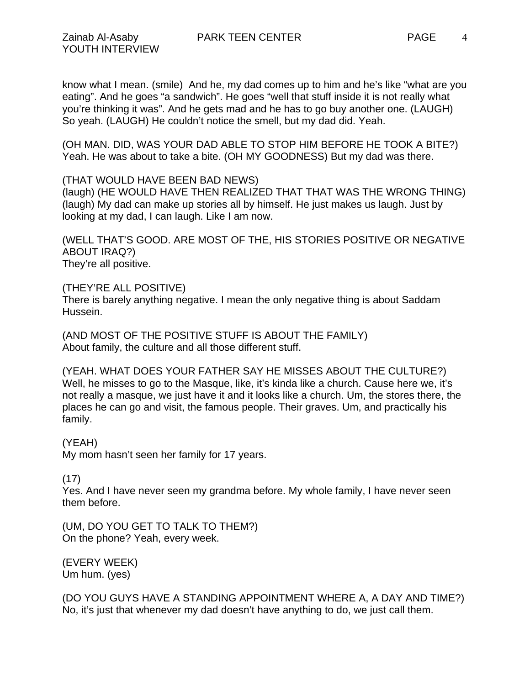know what I mean. (smile) And he, my dad comes up to him and he's like "what are you eating". And he goes "a sandwich". He goes "well that stuff inside it is not really what you're thinking it was". And he gets mad and he has to go buy another one. (LAUGH) So yeah. (LAUGH) He couldn't notice the smell, but my dad did. Yeah.

(OH MAN. DID, WAS YOUR DAD ABLE TO STOP HIM BEFORE HE TOOK A BITE?) Yeah. He was about to take a bite. (OH MY GOODNESS) But my dad was there.

## (THAT WOULD HAVE BEEN BAD NEWS)

(laugh) (HE WOULD HAVE THEN REALIZED THAT THAT WAS THE WRONG THING) (laugh) My dad can make up stories all by himself. He just makes us laugh. Just by looking at my dad, I can laugh. Like I am now.

(WELL THAT'S GOOD. ARE MOST OF THE, HIS STORIES POSITIVE OR NEGATIVE ABOUT IRAQ?) They're all positive.

## (THEY'RE ALL POSITIVE)

There is barely anything negative. I mean the only negative thing is about Saddam Hussein.

(AND MOST OF THE POSITIVE STUFF IS ABOUT THE FAMILY) About family, the culture and all those different stuff.

(YEAH. WHAT DOES YOUR FATHER SAY HE MISSES ABOUT THE CULTURE?) Well, he misses to go to the Masque, like, it's kinda like a church. Cause here we, it's not really a masque, we just have it and it looks like a church. Um, the stores there, the places he can go and visit, the famous people. Their graves. Um, and practically his family.

## (YEAH)

My mom hasn't seen her family for 17 years.

## (17)

Yes. And I have never seen my grandma before. My whole family, I have never seen them before.

(UM, DO YOU GET TO TALK TO THEM?) On the phone? Yeah, every week.

(EVERY WEEK) Um hum. (yes)

(DO YOU GUYS HAVE A STANDING APPOINTMENT WHERE A, A DAY AND TIME?) No, it's just that whenever my dad doesn't have anything to do, we just call them.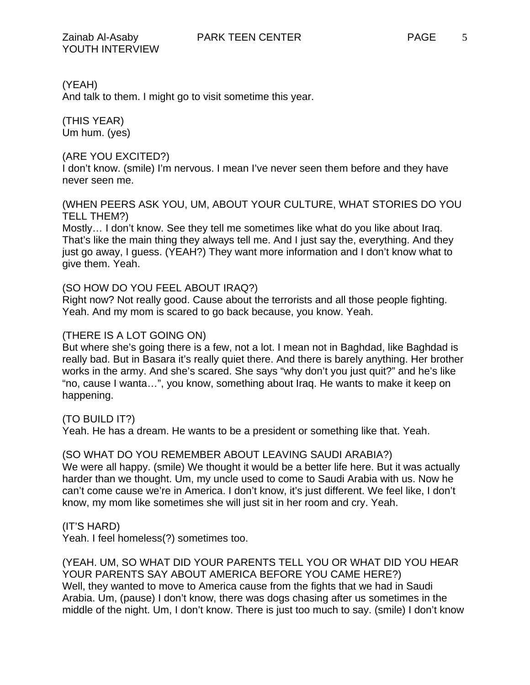(YEAH)

And talk to them. I might go to visit sometime this year.

(THIS YEAR) Um hum. (yes)

## (ARE YOU EXCITED?)

I don't know. (smile) I'm nervous. I mean I've never seen them before and they have never seen me.

## (WHEN PEERS ASK YOU, UM, ABOUT YOUR CULTURE, WHAT STORIES DO YOU TELL THEM?)

Mostly… I don't know. See they tell me sometimes like what do you like about Iraq. That's like the main thing they always tell me. And I just say the, everything. And they just go away, I guess. (YEAH?) They want more information and I don't know what to give them. Yeah.

## (SO HOW DO YOU FEEL ABOUT IRAQ?)

Right now? Not really good. Cause about the terrorists and all those people fighting. Yeah. And my mom is scared to go back because, you know. Yeah.

## (THERE IS A LOT GOING ON)

But where she's going there is a few, not a lot. I mean not in Baghdad, like Baghdad is really bad. But in Basara it's really quiet there. And there is barely anything. Her brother works in the army. And she's scared. She says "why don't you just quit?" and he's like "no, cause I wanta…", you know, something about Iraq. He wants to make it keep on happening.

# (TO BUILD IT?)

Yeah. He has a dream. He wants to be a president or something like that. Yeah.

## (SO WHAT DO YOU REMEMBER ABOUT LEAVING SAUDI ARABIA?)

We were all happy. (smile) We thought it would be a better life here. But it was actually harder than we thought. Um, my uncle used to come to Saudi Arabia with us. Now he can't come cause we're in America. I don't know, it's just different. We feel like, I don't know, my mom like sometimes she will just sit in her room and cry. Yeah.

## (IT'S HARD)

Yeah. I feel homeless(?) sometimes too.

## (YEAH. UM, SO WHAT DID YOUR PARENTS TELL YOU OR WHAT DID YOU HEAR YOUR PARENTS SAY ABOUT AMERICA BEFORE YOU CAME HERE?) Well, they wanted to move to America cause from the fights that we had in Saudi Arabia. Um, (pause) I don't know, there was dogs chasing after us sometimes in the middle of the night. Um, I don't know. There is just too much to say. (smile) I don't know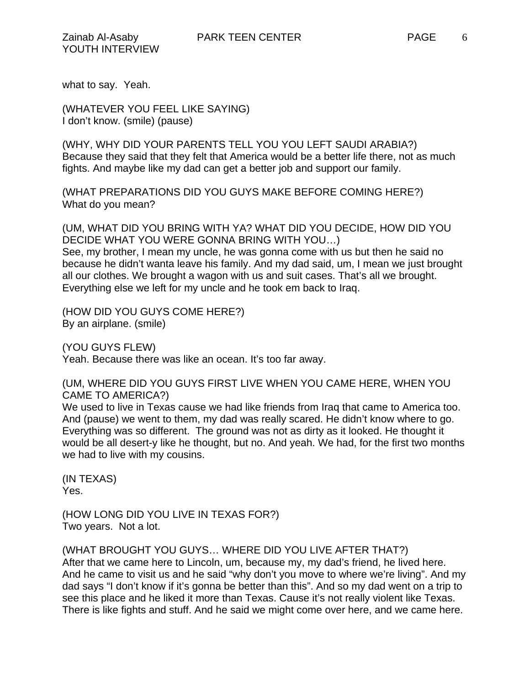what to say. Yeah.

(WHATEVER YOU FEEL LIKE SAYING) I don't know. (smile) (pause)

(WHY, WHY DID YOUR PARENTS TELL YOU YOU LEFT SAUDI ARABIA?) Because they said that they felt that America would be a better life there, not as much fights. And maybe like my dad can get a better job and support our family.

(WHAT PREPARATIONS DID YOU GUYS MAKE BEFORE COMING HERE?) What do you mean?

(UM, WHAT DID YOU BRING WITH YA? WHAT DID YOU DECIDE, HOW DID YOU DECIDE WHAT YOU WERE GONNA BRING WITH YOU…) See, my brother, I mean my uncle, he was gonna come with us but then he said no because he didn't wanta leave his family. And my dad said, um, I mean we just brought all our clothes. We brought a wagon with us and suit cases. That's all we brought. Everything else we left for my uncle and he took em back to Iraq.

(HOW DID YOU GUYS COME HERE?) By an airplane. (smile)

(YOU GUYS FLEW) Yeah. Because there was like an ocean. It's too far away.

(UM, WHERE DID YOU GUYS FIRST LIVE WHEN YOU CAME HERE, WHEN YOU CAME TO AMERICA?)

We used to live in Texas cause we had like friends from Iraq that came to America too. And (pause) we went to them, my dad was really scared. He didn't know where to go. Everything was so different. The ground was not as dirty as it looked. He thought it would be all desert-y like he thought, but no. And yeah. We had, for the first two months we had to live with my cousins.

(IN TEXAS) Yes.

(HOW LONG DID YOU LIVE IN TEXAS FOR?) Two years. Not a lot.

(WHAT BROUGHT YOU GUYS… WHERE DID YOU LIVE AFTER THAT?) After that we came here to Lincoln, um, because my, my dad's friend, he lived here. And he came to visit us and he said "why don't you move to where we're living". And my dad says "I don't know if it's gonna be better than this". And so my dad went on a trip to see this place and he liked it more than Texas. Cause it's not really violent like Texas. There is like fights and stuff. And he said we might come over here, and we came here.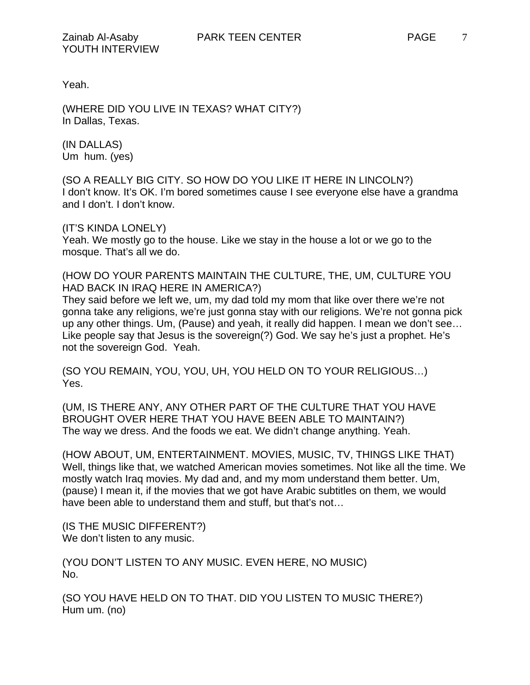Yeah.

(WHERE DID YOU LIVE IN TEXAS? WHAT CITY?) In Dallas, Texas.

(IN DALLAS) Um hum. (yes)

(SO A REALLY BIG CITY. SO HOW DO YOU LIKE IT HERE IN LINCOLN?) I don't know. It's OK. I'm bored sometimes cause I see everyone else have a grandma and I don't. I don't know.

(IT'S KINDA LONELY)

Yeah. We mostly go to the house. Like we stay in the house a lot or we go to the mosque. That's all we do.

(HOW DO YOUR PARENTS MAINTAIN THE CULTURE, THE, UM, CULTURE YOU HAD BACK IN IRAQ HERE IN AMERICA?)

They said before we left we, um, my dad told my mom that like over there we're not gonna take any religions, we're just gonna stay with our religions. We're not gonna pick up any other things. Um, (Pause) and yeah, it really did happen. I mean we don't see… Like people say that Jesus is the sovereign(?) God. We say he's just a prophet. He's not the sovereign God. Yeah.

(SO YOU REMAIN, YOU, YOU, UH, YOU HELD ON TO YOUR RELIGIOUS…) Yes.

(UM, IS THERE ANY, ANY OTHER PART OF THE CULTURE THAT YOU HAVE BROUGHT OVER HERE THAT YOU HAVE BEEN ABLE TO MAINTAIN?) The way we dress. And the foods we eat. We didn't change anything. Yeah.

(HOW ABOUT, UM, ENTERTAINMENT. MOVIES, MUSIC, TV, THINGS LIKE THAT) Well, things like that, we watched American movies sometimes. Not like all the time. We mostly watch Iraq movies. My dad and, and my mom understand them better. Um, (pause) I mean it, if the movies that we got have Arabic subtitles on them, we would have been able to understand them and stuff, but that's not...

(IS THE MUSIC DIFFERENT?) We don't listen to any music.

(YOU DON'T LISTEN TO ANY MUSIC. EVEN HERE, NO MUSIC) No.

(SO YOU HAVE HELD ON TO THAT. DID YOU LISTEN TO MUSIC THERE?) Hum um. (no)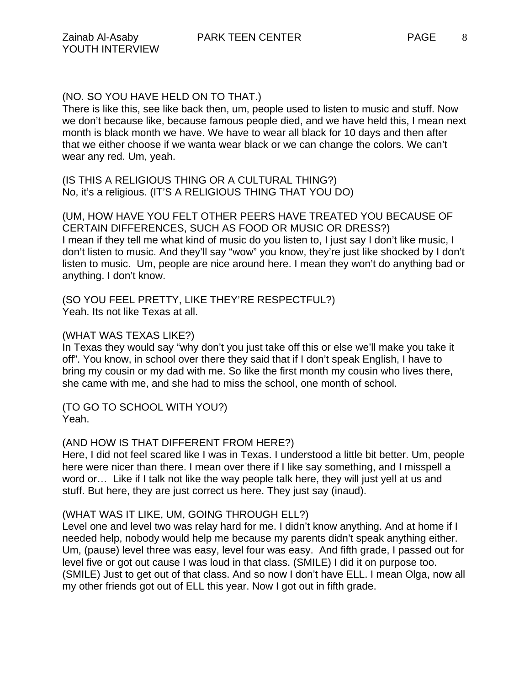There is like this, see like back then, um, people used to listen to music and stuff. Now we don't because like, because famous people died, and we have held this, I mean next month is black month we have. We have to wear all black for 10 days and then after that we either choose if we wanta wear black or we can change the colors. We can't wear any red. Um, yeah.

(IS THIS A RELIGIOUS THING OR A CULTURAL THING?) No, it's a religious. (IT'S A RELIGIOUS THING THAT YOU DO)

(UM, HOW HAVE YOU FELT OTHER PEERS HAVE TREATED YOU BECAUSE OF CERTAIN DIFFERENCES, SUCH AS FOOD OR MUSIC OR DRESS?) I mean if they tell me what kind of music do you listen to, I just say I don't like music, I don't listen to music. And they'll say "wow" you know, they're just like shocked by I don't listen to music. Um, people are nice around here. I mean they won't do anything bad or anything. I don't know.

(SO YOU FEEL PRETTY, LIKE THEY'RE RESPECTFUL?) Yeah. Its not like Texas at all.

## (WHAT WAS TEXAS LIKE?)

In Texas they would say "why don't you just take off this or else we'll make you take it off". You know, in school over there they said that if I don't speak English, I have to bring my cousin or my dad with me. So like the first month my cousin who lives there, she came with me, and she had to miss the school, one month of school.

(TO GO TO SCHOOL WITH YOU?) Yeah.

## (AND HOW IS THAT DIFFERENT FROM HERE?)

Here, I did not feel scared like I was in Texas. I understood a little bit better. Um, people here were nicer than there. I mean over there if I like say something, and I misspell a word or… Like if I talk not like the way people talk here, they will just yell at us and stuff. But here, they are just correct us here. They just say (inaud).

## (WHAT WAS IT LIKE, UM, GOING THROUGH ELL?)

Level one and level two was relay hard for me. I didn't know anything. And at home if I needed help, nobody would help me because my parents didn't speak anything either. Um, (pause) level three was easy, level four was easy. And fifth grade, I passed out for level five or got out cause I was loud in that class. (SMILE) I did it on purpose too. (SMILE) Just to get out of that class. And so now I don't have ELL. I mean Olga, now all my other friends got out of ELL this year. Now I got out in fifth grade.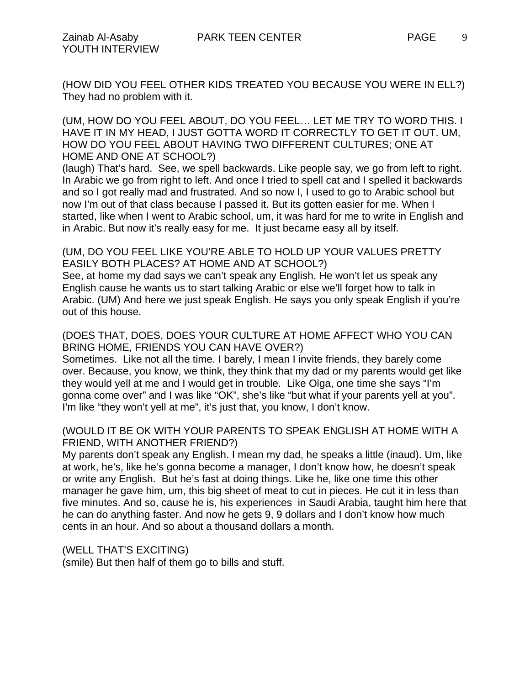9

(HOW DID YOU FEEL OTHER KIDS TREATED YOU BECAUSE YOU WERE IN ELL?) They had no problem with it.

(UM, HOW DO YOU FEEL ABOUT, DO YOU FEEL… LET ME TRY TO WORD THIS. I HAVE IT IN MY HEAD, I JUST GOTTA WORD IT CORRECTLY TO GET IT OUT. UM, HOW DO YOU FEEL ABOUT HAVING TWO DIFFERENT CULTURES; ONE AT HOME AND ONE AT SCHOOL?)

(laugh) That's hard. See, we spell backwards. Like people say, we go from left to right. In Arabic we go from right to left. And once I tried to spell cat and I spelled it backwards and so I got really mad and frustrated. And so now I, I used to go to Arabic school but now I'm out of that class because I passed it. But its gotten easier for me. When I started, like when I went to Arabic school, um, it was hard for me to write in English and in Arabic. But now it's really easy for me. It just became easy all by itself.

### (UM, DO YOU FEEL LIKE YOU'RE ABLE TO HOLD UP YOUR VALUES PRETTY EASILY BOTH PLACES? AT HOME AND AT SCHOOL?)

See, at home my dad says we can't speak any English. He won't let us speak any English cause he wants us to start talking Arabic or else we'll forget how to talk in Arabic. (UM) And here we just speak English. He says you only speak English if you're out of this house.

## (DOES THAT, DOES, DOES YOUR CULTURE AT HOME AFFECT WHO YOU CAN BRING HOME, FRIENDS YOU CAN HAVE OVER?)

Sometimes. Like not all the time. I barely, I mean I invite friends, they barely come over. Because, you know, we think, they think that my dad or my parents would get like they would yell at me and I would get in trouble. Like Olga, one time she says "I'm gonna come over" and I was like "OK", she's like "but what if your parents yell at you". I'm like "they won't yell at me", it's just that, you know, I don't know.

## (WOULD IT BE OK WITH YOUR PARENTS TO SPEAK ENGLISH AT HOME WITH A FRIEND, WITH ANOTHER FRIEND?)

My parents don't speak any English. I mean my dad, he speaks a little (inaud). Um, like at work, he's, like he's gonna become a manager, I don't know how, he doesn't speak or write any English. But he's fast at doing things. Like he, like one time this other manager he gave him, um, this big sheet of meat to cut in pieces. He cut it in less than five minutes. And so, cause he is, his experiences in Saudi Arabia, taught him here that he can do anything faster. And now he gets 9, 9 dollars and I don't know how much cents in an hour. And so about a thousand dollars a month.

## (WELL THAT'S EXCITING)

(smile) But then half of them go to bills and stuff.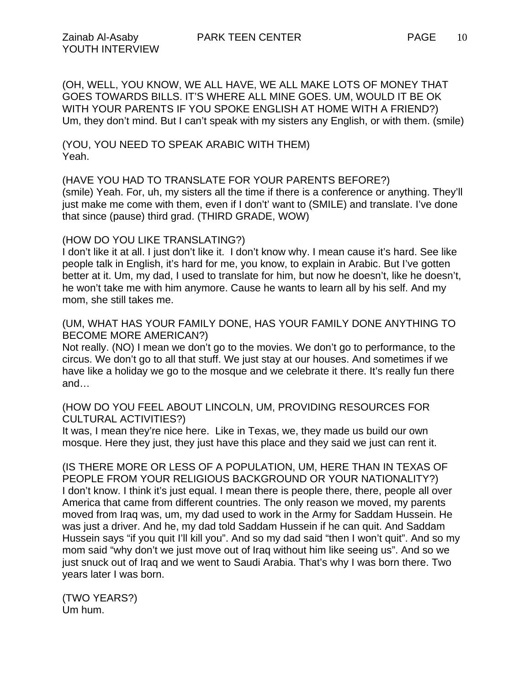(OH, WELL, YOU KNOW, WE ALL HAVE, WE ALL MAKE LOTS OF MONEY THAT GOES TOWARDS BILLS. IT'S WHERE ALL MINE GOES. UM, WOULD IT BE OK WITH YOUR PARENTS IF YOU SPOKE ENGLISH AT HOME WITH A FRIEND?) Um, they don't mind. But I can't speak with my sisters any English, or with them. (smile)

(YOU, YOU NEED TO SPEAK ARABIC WITH THEM) Yeah.

(HAVE YOU HAD TO TRANSLATE FOR YOUR PARENTS BEFORE?) (smile) Yeah. For, uh, my sisters all the time if there is a conference or anything. They'll just make me come with them, even if I don't' want to (SMILE) and translate. I've done that since (pause) third grad. (THIRD GRADE, WOW)

#### (HOW DO YOU LIKE TRANSLATING?)

I don't like it at all. I just don't like it. I don't know why. I mean cause it's hard. See like people talk in English, it's hard for me, you know, to explain in Arabic. But I've gotten better at it. Um, my dad, I used to translate for him, but now he doesn't, like he doesn't, he won't take me with him anymore. Cause he wants to learn all by his self. And my mom, she still takes me.

### (UM, WHAT HAS YOUR FAMILY DONE, HAS YOUR FAMILY DONE ANYTHING TO BECOME MORE AMERICAN?)

Not really. (NO) I mean we don't go to the movies. We don't go to performance, to the circus. We don't go to all that stuff. We just stay at our houses. And sometimes if we have like a holiday we go to the mosque and we celebrate it there. It's really fun there and…

#### (HOW DO YOU FEEL ABOUT LINCOLN, UM, PROVIDING RESOURCES FOR CULTURAL ACTIVITIES?)

It was, I mean they're nice here. Like in Texas, we, they made us build our own mosque. Here they just, they just have this place and they said we just can rent it.

(IS THERE MORE OR LESS OF A POPULATION, UM, HERE THAN IN TEXAS OF PEOPLE FROM YOUR RELIGIOUS BACKGROUND OR YOUR NATIONALITY?) I don't know. I think it's just equal. I mean there is people there, there, people all over America that came from different countries. The only reason we moved, my parents moved from Iraq was, um, my dad used to work in the Army for Saddam Hussein. He was just a driver. And he, my dad told Saddam Hussein if he can quit. And Saddam Hussein says "if you quit I'll kill you". And so my dad said "then I won't quit". And so my mom said "why don't we just move out of Iraq without him like seeing us". And so we just snuck out of Iraq and we went to Saudi Arabia. That's why I was born there. Two years later I was born.

(TWO YEARS?) Um hum.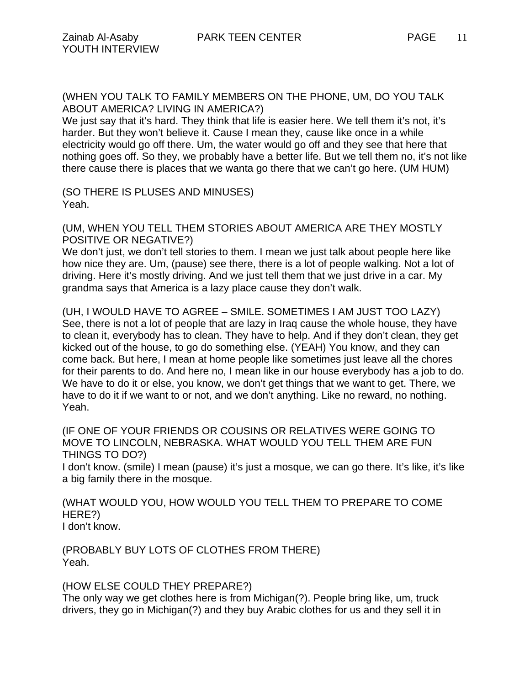We just say that it's hard. They think that life is easier here. We tell them it's not, it's harder. But they won't believe it. Cause I mean they, cause like once in a while electricity would go off there. Um, the water would go off and they see that here that nothing goes off. So they, we probably have a better life. But we tell them no, it's not like there cause there is places that we wanta go there that we can't go here. (UM HUM)

(SO THERE IS PLUSES AND MINUSES) Yeah.

(UM, WHEN YOU TELL THEM STORIES ABOUT AMERICA ARE THEY MOSTLY POSITIVE OR NEGATIVE?)

We don't just, we don't tell stories to them. I mean we just talk about people here like how nice they are. Um, (pause) see there, there is a lot of people walking. Not a lot of driving. Here it's mostly driving. And we just tell them that we just drive in a car. My grandma says that America is a lazy place cause they don't walk.

(UH, I WOULD HAVE TO AGREE – SMILE. SOMETIMES I AM JUST TOO LAZY) See, there is not a lot of people that are lazy in Iraq cause the whole house, they have to clean it, everybody has to clean. They have to help. And if they don't clean, they get kicked out of the house, to go do something else. (YEAH) You know, and they can come back. But here, I mean at home people like sometimes just leave all the chores for their parents to do. And here no, I mean like in our house everybody has a job to do. We have to do it or else, you know, we don't get things that we want to get. There, we have to do it if we want to or not, and we don't anything. Like no reward, no nothing. Yeah.

(IF ONE OF YOUR FRIENDS OR COUSINS OR RELATIVES WERE GOING TO MOVE TO LINCOLN, NEBRASKA. WHAT WOULD YOU TELL THEM ARE FUN THINGS TO DO?)

I don't know. (smile) I mean (pause) it's just a mosque, we can go there. It's like, it's like a big family there in the mosque.

(WHAT WOULD YOU, HOW WOULD YOU TELL THEM TO PREPARE TO COME HERE?) I don't know.

(PROBABLY BUY LOTS OF CLOTHES FROM THERE) Yeah.

#### (HOW ELSE COULD THEY PREPARE?)

The only way we get clothes here is from Michigan(?). People bring like, um, truck drivers, they go in Michigan(?) and they buy Arabic clothes for us and they sell it in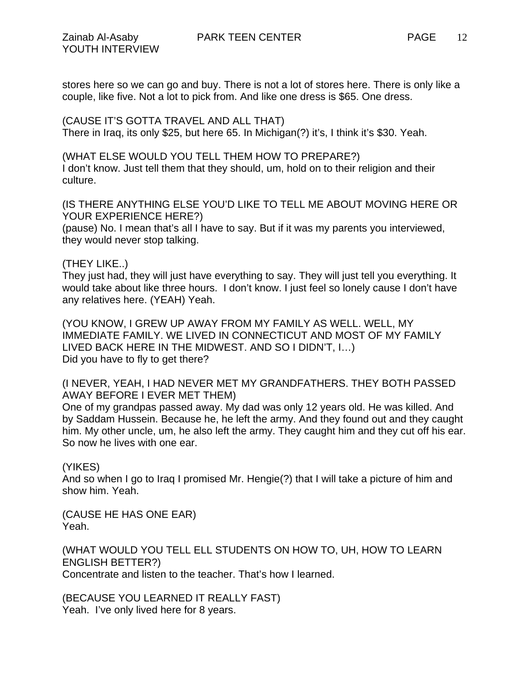stores here so we can go and buy. There is not a lot of stores here. There is only like a couple, like five. Not a lot to pick from. And like one dress is \$65. One dress.

(CAUSE IT'S GOTTA TRAVEL AND ALL THAT) There in Iraq, its only \$25, but here 65. In Michigan(?) it's, I think it's \$30. Yeah.

(WHAT ELSE WOULD YOU TELL THEM HOW TO PREPARE?) I don't know. Just tell them that they should, um, hold on to their religion and their culture.

(IS THERE ANYTHING ELSE YOU'D LIKE TO TELL ME ABOUT MOVING HERE OR YOUR EXPERIENCE HERE?)

(pause) No. I mean that's all I have to say. But if it was my parents you interviewed, they would never stop talking.

## (THEY LIKE..)

They just had, they will just have everything to say. They will just tell you everything. It would take about like three hours. I don't know. I just feel so lonely cause I don't have any relatives here. (YEAH) Yeah.

(YOU KNOW, I GREW UP AWAY FROM MY FAMILY AS WELL. WELL, MY IMMEDIATE FAMILY. WE LIVED IN CONNECTICUT AND MOST OF MY FAMILY LIVED BACK HERE IN THE MIDWEST. AND SO I DIDN'T, I…) Did you have to fly to get there?

(I NEVER, YEAH, I HAD NEVER MET MY GRANDFATHERS. THEY BOTH PASSED AWAY BEFORE I EVER MET THEM)

One of my grandpas passed away. My dad was only 12 years old. He was killed. And by Saddam Hussein. Because he, he left the army. And they found out and they caught him. My other uncle, um, he also left the army. They caught him and they cut off his ear. So now he lives with one ear.

## (YIKES)

And so when I go to Iraq I promised Mr. Hengie(?) that I will take a picture of him and show him. Yeah.

(CAUSE HE HAS ONE EAR) Yeah.

(WHAT WOULD YOU TELL ELL STUDENTS ON HOW TO, UH, HOW TO LEARN ENGLISH BETTER?) Concentrate and listen to the teacher. That's how I learned.

(BECAUSE YOU LEARNED IT REALLY FAST)

Yeah. I've only lived here for 8 years.